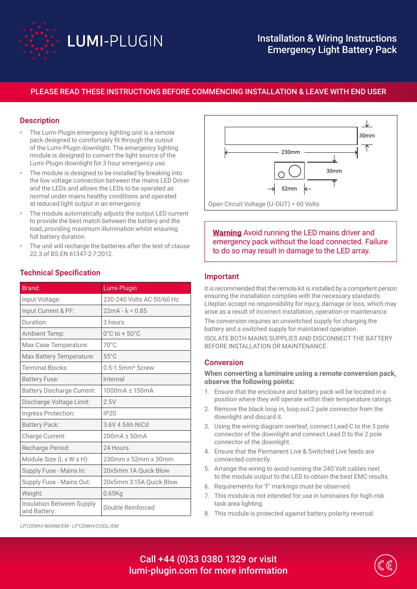

# Installation & Wiring Instructions Emergency Light Battery Pack

## PLEASE READ THESE INSTRUCTIONS BEFORE COMMENCING INSTALLATION & LEAVE WITH END USER

### **Description**

- The Lumi-Plugin emergency lighting unit is a remote pack designed to comfortably fit through the cutout of the Lumi-Plugin downlight. The emergency lighting module is designed to convert the light source of the Lumi-Plugin downlight for 3 hour emergency use.
- The module is designed to be installed by breaking into the low voltage connection between the mains LED Driver and the LEDs and allows the LEDs to be operated as normal under mains healthy conditions and operated at reduced light output in an emergency.
- The module automatically adjusts the output LED current to provide the best match between the battery and the load, providing maximum illumination whilst ensuring full battery duration.
- The unit will recharge the batteries after the test of clause 22.3 of BS EN 61347-2-7:2012.

| Brand:                                    | Lumi-Plugin                        |  |  |  |  |
|-------------------------------------------|------------------------------------|--|--|--|--|
| Input Voltage:                            | 230-240 Volts AC 50/60 Hz          |  |  |  |  |
| Input Current & PF:                       | $22mA - \lambda = 0.85$            |  |  |  |  |
| Duration:                                 | 3 hours                            |  |  |  |  |
| Ambient Temp:                             | $0^{\circ}$ C to + 50 $^{\circ}$ C |  |  |  |  |
| Max Case Temperature:                     | 70°C                               |  |  |  |  |
| Max Battery Temperature:                  | $55^{\circ}$ C                     |  |  |  |  |
| <b>Terminal Blocks:</b>                   | 0.5-1.5mm <sup>2</sup> Screw       |  |  |  |  |
| <b>Battery Fuse:</b>                      | Internal                           |  |  |  |  |
| <b>Battery Discharge Current:</b>         | 1000mA ± 150mA                     |  |  |  |  |
| Discharge Voltage Limit:                  | 2.5V                               |  |  |  |  |
| Ingress Protection:                       | <b>IP20</b>                        |  |  |  |  |
| <b>Battery Pack:</b>                      | 3.6V 4.5Ah NiCd                    |  |  |  |  |
| Charge Current:                           | 200mA ± 50mA                       |  |  |  |  |
| Recharge Period:                          | 24 Hours                           |  |  |  |  |
| Module Size (L x W x H):                  | 230mm x 52mm x 30mm                |  |  |  |  |
| Supply Fuse - Mains In:                   | 20x5mm 1A Quick Blow               |  |  |  |  |
| Supply Fuse - Mains Out:                  | 20x5mm 3.15A Quick Blow            |  |  |  |  |
| Weight:                                   | $0.65$ Kg                          |  |  |  |  |
| Insulation Between Supply<br>and Battery: | Double Reinforced                  |  |  |  |  |

#### Technical Specification



**Warning** Avoid running the LED mains driver and emergency pack without the load connected. Failure to do so may result in damage to the LED array.

#### Important

It is recommended that the remote kit is installed by a competent person ensuring the installation complies with the necessary standards. Liteplan accept no responsibility for injury, damage or loss, which may arise as a result of incorrect installation, operation or maintenance.

The conversion requires an unswitched supply for charging the battery and a switched supply for maintained operation.

ISOLATE BOTH MAINS SUPPLIES AND DISCONNECT THE BATTERY BEFORE INSTALLATION OR MAINTENANCE.

#### Conversion

**When converting a luminaire using a remote conversion pack, observe the following points:**

- 1. Ensure that the enclosure and battery pack will be located in a position where they will operate within their temperature ratings.
- 2. Remove the black loop in, loop out 2 pole connector from the downlight and discard it.
- 3. Using the wiring diagram overleaf, connect Lead C to the 3 pole connector of the downlight and connect Lead D to the 2 pole connector of the downlight.
- 4. Ensure that the Permanent Live & Switched Live feeds are connected correctly.
- 5. Arrange the wiring to avoid running the 240 Volt cables next to the module output to the LED to obtain the best EMC results.
- 6. Requirements for 'F' markings must be observed.
- 7. This module is not intended for use in luminaires for high-risk task area lighting.
- 8. This module is protected against battery polarity reversal.

Call +44 (0)33 0380 1329 or visit lumi-plugin.com for more information



LP120WH/WARM/EM - LP120WH/COOL/EM